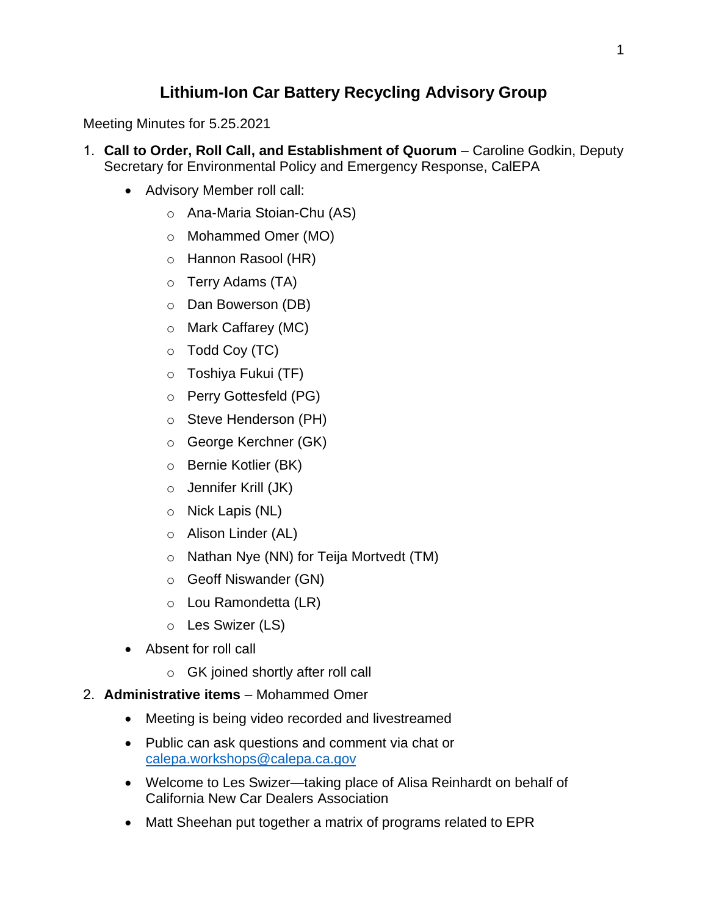# **Lithium-Ion Car Battery Recycling Advisory Group**

Meeting Minutes for 5.25.2021

- 1. **Call to Order, Roll Call, and Establishment of Quorum** Caroline Godkin, Deputy Secretary for Environmental Policy and Emergency Response, CalEPA
	- Advisory Member roll call:
		- o Ana-Maria Stoian-Chu (AS)
		- o Mohammed Omer (MO)
		- o Hannon Rasool (HR)
		- o Terry Adams (TA)
		- o Dan Bowerson (DB)
		- o Mark Caffarey (MC)
		- $\circ$  Todd Coy (TC)
		- o Toshiya Fukui (TF)
		- o Perry Gottesfeld (PG)
		- o Steve Henderson (PH)
		- o George Kerchner (GK)
		- o Bernie Kotlier (BK)
		- o Jennifer Krill (JK)
		- o Nick Lapis (NL)
		- o Alison Linder (AL)
		- o Nathan Nye (NN) for Teija Mortvedt (TM)
		- o Geoff Niswander (GN)
		- o Lou Ramondetta (LR)
		- o Les Swizer (LS)
	- Absent for roll call
		- o GK joined shortly after roll call
- 2. **Administrative items** Mohammed Omer
	- Meeting is being video recorded and livestreamed
	- Public can ask questions and comment via chat or [calepa.workshops@calepa.ca.gov](mailto:calepa.workshops@calepa.ca.gov)
	- Welcome to Les Swizer—taking place of Alisa Reinhardt on behalf of California New Car Dealers Association
	- Matt Sheehan put together a matrix of programs related to EPR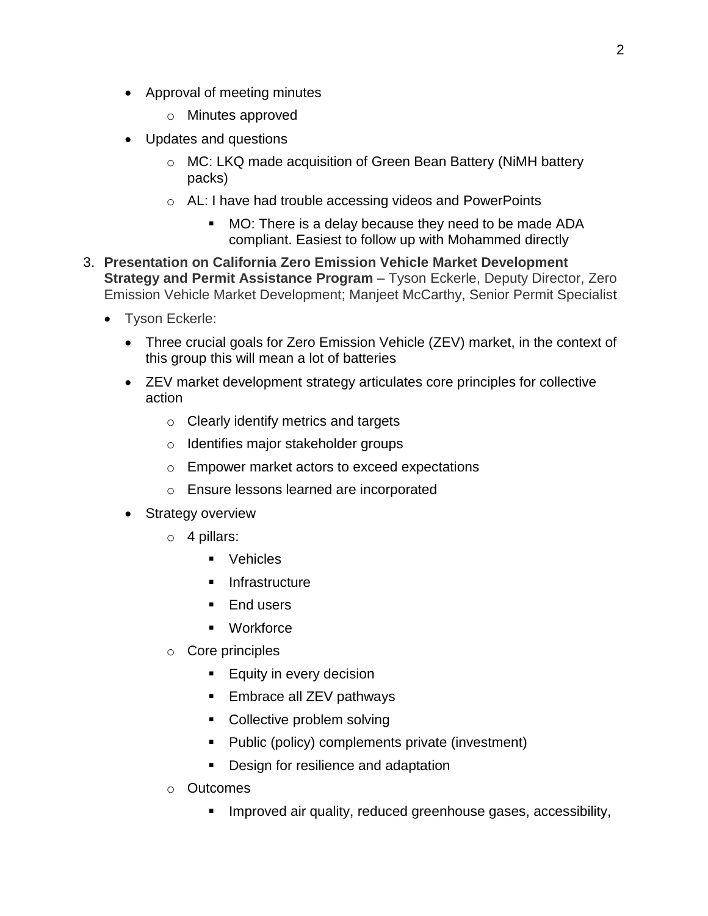- Approval of meeting minutes
	- o Minutes approved
- Updates and questions
	- o MC: LKQ made acquisition of Green Bean Battery (NiMH battery packs)
	- o AL: I have had trouble accessing videos and PowerPoints
		- MO: There is a delay because they need to be made ADA compliant. Easiest to follow up with Mohammed directly
- 3. **Presentation on California Zero Emission Vehicle Market Development Strategy and Permit Assistance Program** – Tyson Eckerle, Deputy Director, Zero Emission Vehicle Market Development; Manjeet McCarthy, Senior Permit Specialist
	- Tyson Eckerle:
		- Three crucial goals for Zero Emission Vehicle (ZEV) market, in the context of this group this will mean a lot of batteries
		- ZEV market development strategy articulates core principles for collective action
			- o Clearly identify metrics and targets
			- o Identifies major stakeholder groups
			- o Empower market actors to exceed expectations
			- o Ensure lessons learned are incorporated
		- Strategy overview
			- $\circ$  4 pillars:
				- Vehicles
				- **Infrastructure**
				- **End users**
				- **•** Workforce
			- o Core principles
				- **Equity in every decision**
				- **Embrace all ZEV pathways**
				- Collective problem solving
				- Public (policy) complements private (investment)
				- **Design for resilience and adaptation**
			- o Outcomes
				- **IMPROVED air quality, reduced greenhouse gases, accessibility,**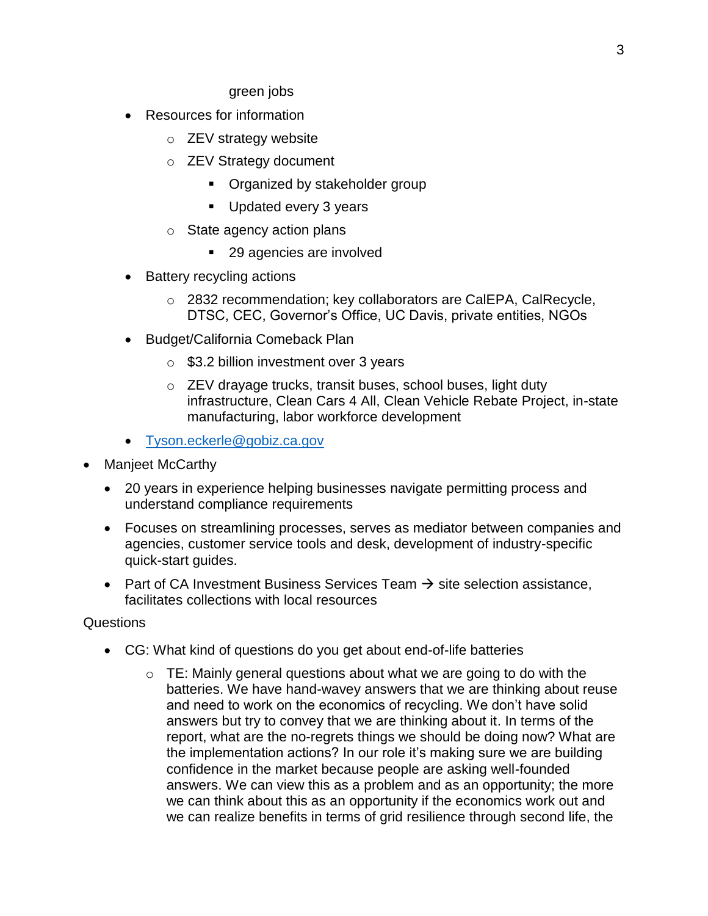green jobs

- Resources for information
	- o ZEV strategy website
	- o ZEV Strategy document
		- **•** Organized by stakeholder group
		- Updated every 3 years
	- o State agency action plans
		- 29 agencies are involved
- Battery recycling actions
	- o 2832 recommendation; key collaborators are CalEPA, CalRecycle, DTSC, CEC, Governor's Office, UC Davis, private entities, NGOs
- Budget/California Comeback Plan
	- $\circ$  \$3.2 billion investment over 3 years
	- o ZEV drayage trucks, transit buses, school buses, light duty infrastructure, Clean Cars 4 All, Clean Vehicle Rebate Project, in-state manufacturing, labor workforce development
- [Tyson.eckerle@gobiz.ca.gov](mailto:Tyson.eckerle@gobiz.ca.gov)
- Manjeet McCarthy
	- 20 years in experience helping businesses navigate permitting process and understand compliance requirements
	- Focuses on streamlining processes, serves as mediator between companies and agencies, customer service tools and desk, development of industry-specific quick-start guides.
	- Part of CA Investment Business Services Team  $\rightarrow$  site selection assistance, facilitates collections with local resources

#### **Questions**

- CG: What kind of questions do you get about end-of-life batteries
	- $\circ$  TE: Mainly general questions about what we are going to do with the batteries. We have hand-wavey answers that we are thinking about reuse and need to work on the economics of recycling. We don't have solid answers but try to convey that we are thinking about it. In terms of the report, what are the no-regrets things we should be doing now? What are the implementation actions? In our role it's making sure we are building confidence in the market because people are asking well-founded answers. We can view this as a problem and as an opportunity; the more we can think about this as an opportunity if the economics work out and we can realize benefits in terms of grid resilience through second life, the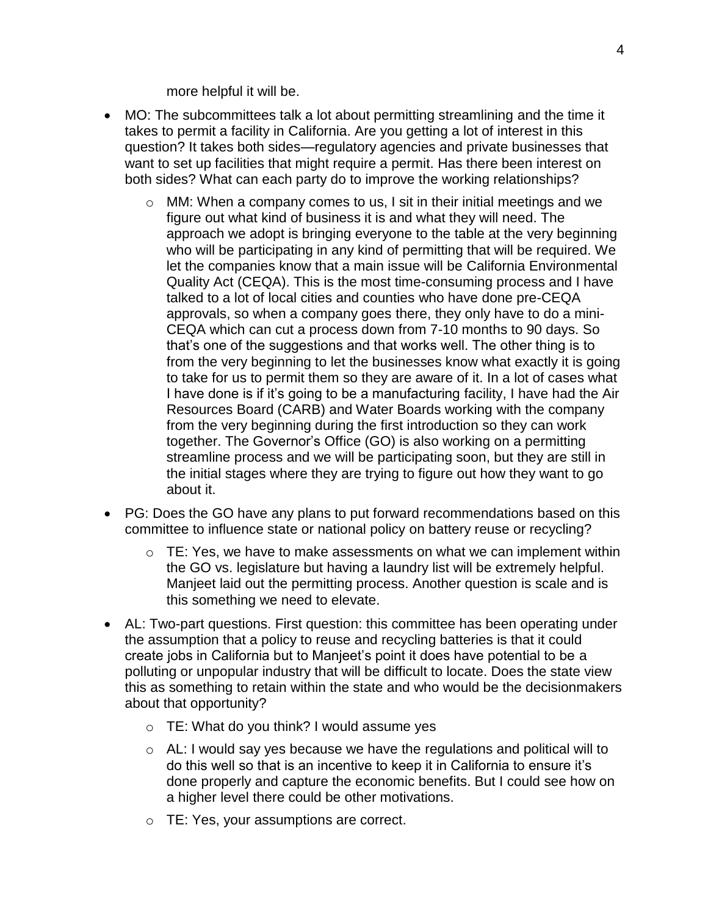more helpful it will be.

- MO: The subcommittees talk a lot about permitting streamlining and the time it takes to permit a facility in California. Are you getting a lot of interest in this question? It takes both sides—regulatory agencies and private businesses that want to set up facilities that might require a permit. Has there been interest on both sides? What can each party do to improve the working relationships?
	- o MM: When a company comes to us, I sit in their initial meetings and we figure out what kind of business it is and what they will need. The approach we adopt is bringing everyone to the table at the very beginning who will be participating in any kind of permitting that will be required. We let the companies know that a main issue will be California Environmental Quality Act (CEQA). This is the most time-consuming process and I have talked to a lot of local cities and counties who have done pre-CEQA approvals, so when a company goes there, they only have to do a mini-CEQA which can cut a process down from 7-10 months to 90 days. So that's one of the suggestions and that works well. The other thing is to from the very beginning to let the businesses know what exactly it is going to take for us to permit them so they are aware of it. In a lot of cases what I have done is if it's going to be a manufacturing facility, I have had the Air Resources Board (CARB) and Water Boards working with the company from the very beginning during the first introduction so they can work together. The Governor's Office (GO) is also working on a permitting streamline process and we will be participating soon, but they are still in the initial stages where they are trying to figure out how they want to go about it.
- PG: Does the GO have any plans to put forward recommendations based on this committee to influence state or national policy on battery reuse or recycling?
	- $\circ$  TE: Yes, we have to make assessments on what we can implement within the GO vs. legislature but having a laundry list will be extremely helpful. Manjeet laid out the permitting process. Another question is scale and is this something we need to elevate.
- AL: Two-part questions. First question: this committee has been operating under the assumption that a policy to reuse and recycling batteries is that it could create jobs in California but to Manjeet's point it does have potential to be a polluting or unpopular industry that will be difficult to locate. Does the state view this as something to retain within the state and who would be the decisionmakers about that opportunity?
	- $\circ$  TE: What do you think? I would assume yes
	- $\circ$  AL: I would say yes because we have the regulations and political will to do this well so that is an incentive to keep it in California to ensure it's done properly and capture the economic benefits. But I could see how on a higher level there could be other motivations.
	- o TE: Yes, your assumptions are correct.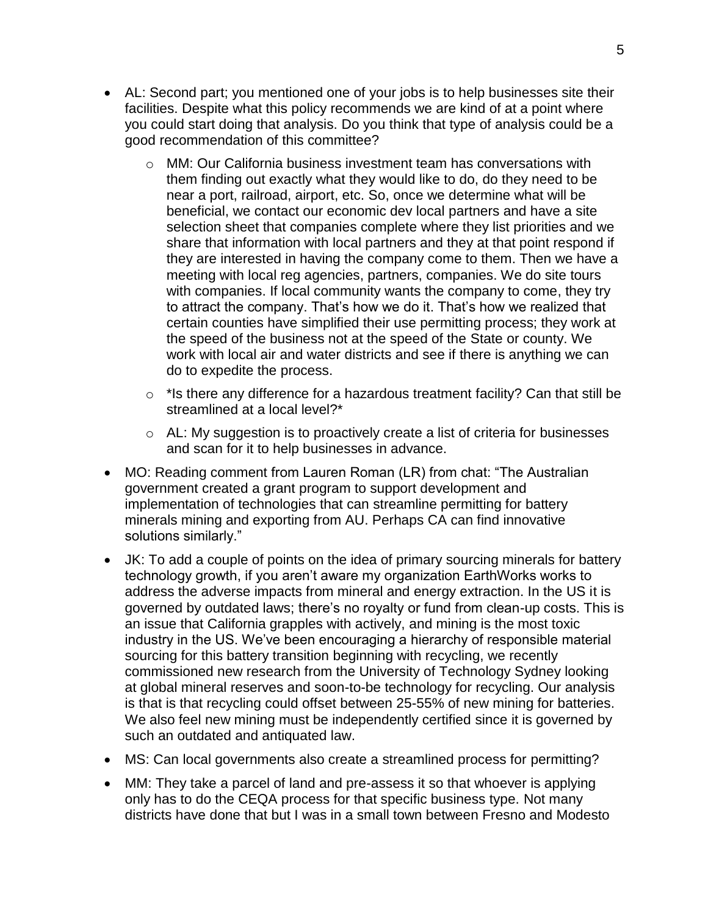- AL: Second part; you mentioned one of your jobs is to help businesses site their facilities. Despite what this policy recommends we are kind of at a point where you could start doing that analysis. Do you think that type of analysis could be a good recommendation of this committee?
	- $\circ$  MM: Our California business investment team has conversations with them finding out exactly what they would like to do, do they need to be near a port, railroad, airport, etc. So, once we determine what will be beneficial, we contact our economic dev local partners and have a site selection sheet that companies complete where they list priorities and we share that information with local partners and they at that point respond if they are interested in having the company come to them. Then we have a meeting with local reg agencies, partners, companies. We do site tours with companies. If local community wants the company to come, they try to attract the company. That's how we do it. That's how we realized that certain counties have simplified their use permitting process; they work at the speed of the business not at the speed of the State or county. We work with local air and water districts and see if there is anything we can do to expedite the process.
	- $\circ$  \*Is there any difference for a hazardous treatment facility? Can that still be streamlined at a local level?\*
	- o AL: My suggestion is to proactively create a list of criteria for businesses and scan for it to help businesses in advance.
- MO: Reading comment from Lauren Roman (LR) from chat: "The Australian government created a grant program to support development and implementation of technologies that can streamline permitting for battery minerals mining and exporting from AU. Perhaps CA can find innovative solutions similarly."
- JK: To add a couple of points on the idea of primary sourcing minerals for battery technology growth, if you aren't aware my organization EarthWorks works to address the adverse impacts from mineral and energy extraction. In the US it is governed by outdated laws; there's no royalty or fund from clean-up costs. This is an issue that California grapples with actively, and mining is the most toxic industry in the US. We've been encouraging a hierarchy of responsible material sourcing for this battery transition beginning with recycling, we recently commissioned new research from the University of Technology Sydney looking at global mineral reserves and soon-to-be technology for recycling. Our analysis is that is that recycling could offset between 25-55% of new mining for batteries. We also feel new mining must be independently certified since it is governed by such an outdated and antiquated law.
- MS: Can local governments also create a streamlined process for permitting?
- MM: They take a parcel of land and pre-assess it so that whoever is applying only has to do the CEQA process for that specific business type. Not many districts have done that but I was in a small town between Fresno and Modesto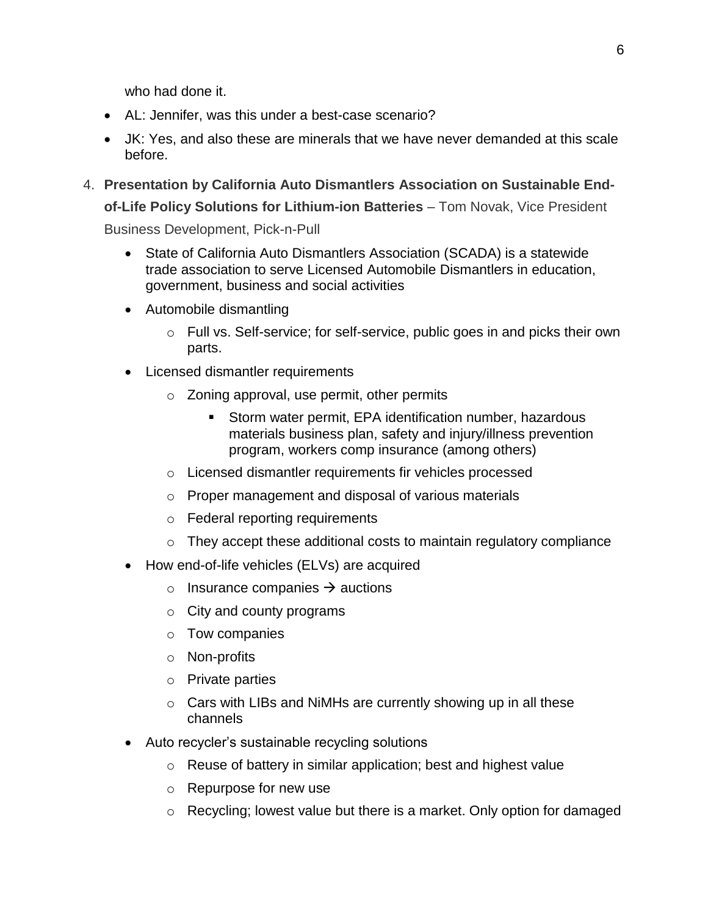who had done it.

- AL: Jennifer, was this under a best-case scenario?
- JK: Yes, and also these are minerals that we have never demanded at this scale before.
- 4. **Presentation by California Auto Dismantlers Association on Sustainable Endof-Life Policy Solutions for Lithium-ion Batteries** – Tom Novak, Vice President Business Development, Pick-n-Pull
	- State of California Auto Dismantlers Association (SCADA) is a statewide trade association to serve Licensed Automobile Dismantlers in education, government, business and social activities
	- Automobile dismantling
		- $\circ$  Full vs. Self-service; for self-service, public goes in and picks their own parts.
	- Licensed dismantler requirements
		- o Zoning approval, use permit, other permits
			- Storm water permit, EPA identification number, hazardous materials business plan, safety and injury/illness prevention program, workers comp insurance (among others)
		- o Licensed dismantler requirements fir vehicles processed
		- o Proper management and disposal of various materials
		- o Federal reporting requirements
		- $\circ$  They accept these additional costs to maintain regulatory compliance
	- How end-of-life vehicles (ELVs) are acquired
		- $\circ$  Insurance companies  $\rightarrow$  auctions
		- $\circ$  City and county programs
		- o Tow companies
		- o Non-profits
		- o Private parties
		- $\circ$  Cars with LIBs and NiMHs are currently showing up in all these channels
	- Auto recycler's sustainable recycling solutions
		- o Reuse of battery in similar application; best and highest value
		- o Repurpose for new use
		- $\circ$  Recycling; lowest value but there is a market. Only option for damaged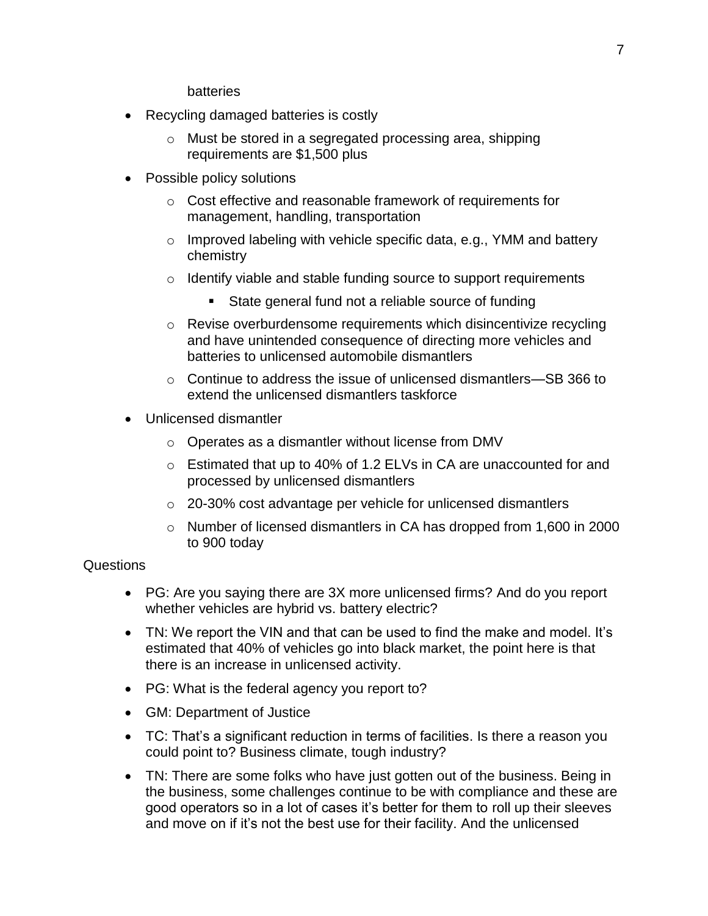batteries

- Recycling damaged batteries is costly
	- o Must be stored in a segregated processing area, shipping requirements are \$1,500 plus
- Possible policy solutions
	- o Cost effective and reasonable framework of requirements for management, handling, transportation
	- $\circ$  Improved labeling with vehicle specific data, e.g., YMM and battery chemistry
	- $\circ$  Identify viable and stable funding source to support requirements
		- State general fund not a reliable source of funding
	- o Revise overburdensome requirements which disincentivize recycling and have unintended consequence of directing more vehicles and batteries to unlicensed automobile dismantlers
	- o Continue to address the issue of unlicensed dismantlers—SB 366 to extend the unlicensed dismantlers taskforce
- Unlicensed dismantler
	- o Operates as a dismantler without license from DMV
	- o Estimated that up to 40% of 1.2 ELVs in CA are unaccounted for and processed by unlicensed dismantlers
	- o 20-30% cost advantage per vehicle for unlicensed dismantlers
	- o Number of licensed dismantlers in CA has dropped from 1,600 in 2000 to 900 today

#### Questions

- PG: Are you saying there are 3X more unlicensed firms? And do you report whether vehicles are hybrid vs. battery electric?
- TN: We report the VIN and that can be used to find the make and model. It's estimated that 40% of vehicles go into black market, the point here is that there is an increase in unlicensed activity.
- PG: What is the federal agency you report to?
- GM: Department of Justice
- TC: That's a significant reduction in terms of facilities. Is there a reason you could point to? Business climate, tough industry?
- TN: There are some folks who have just gotten out of the business. Being in the business, some challenges continue to be with compliance and these are good operators so in a lot of cases it's better for them to roll up their sleeves and move on if it's not the best use for their facility. And the unlicensed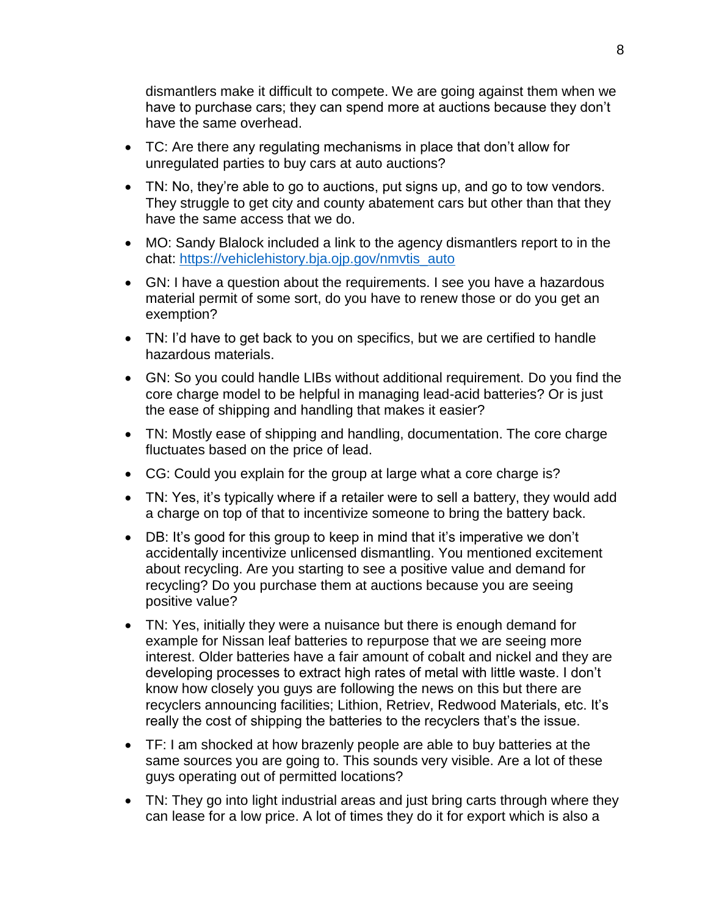dismantlers make it difficult to compete. We are going against them when we have to purchase cars; they can spend more at auctions because they don't have the same overhead.

- TC: Are there any regulating mechanisms in place that don't allow for unregulated parties to buy cars at auto auctions?
- TN: No, they're able to go to auctions, put signs up, and go to tow vendors. They struggle to get city and county abatement cars but other than that they have the same access that we do.
- MO: Sandy Blalock included a link to the agency dismantlers report to in the chat: [https://vehiclehistory.bja.ojp.gov/nmvtis\\_auto](https://vehiclehistory.bja.ojp.gov/nmvtis_auto)
- GN: I have a question about the requirements. I see you have a hazardous material permit of some sort, do you have to renew those or do you get an exemption?
- TN: I'd have to get back to you on specifics, but we are certified to handle hazardous materials.
- GN: So you could handle LIBs without additional requirement. Do you find the core charge model to be helpful in managing lead-acid batteries? Or is just the ease of shipping and handling that makes it easier?
- TN: Mostly ease of shipping and handling, documentation. The core charge fluctuates based on the price of lead.
- CG: Could you explain for the group at large what a core charge is?
- TN: Yes, it's typically where if a retailer were to sell a battery, they would add a charge on top of that to incentivize someone to bring the battery back.
- DB: It's good for this group to keep in mind that it's imperative we don't accidentally incentivize unlicensed dismantling. You mentioned excitement about recycling. Are you starting to see a positive value and demand for recycling? Do you purchase them at auctions because you are seeing positive value?
- TN: Yes, initially they were a nuisance but there is enough demand for example for Nissan leaf batteries to repurpose that we are seeing more interest. Older batteries have a fair amount of cobalt and nickel and they are developing processes to extract high rates of metal with little waste. I don't know how closely you guys are following the news on this but there are recyclers announcing facilities; Lithion, Retriev, Redwood Materials, etc. It's really the cost of shipping the batteries to the recyclers that's the issue.
- TF: I am shocked at how brazenly people are able to buy batteries at the same sources you are going to. This sounds very visible. Are a lot of these guys operating out of permitted locations?
- TN: They go into light industrial areas and just bring carts through where they can lease for a low price. A lot of times they do it for export which is also a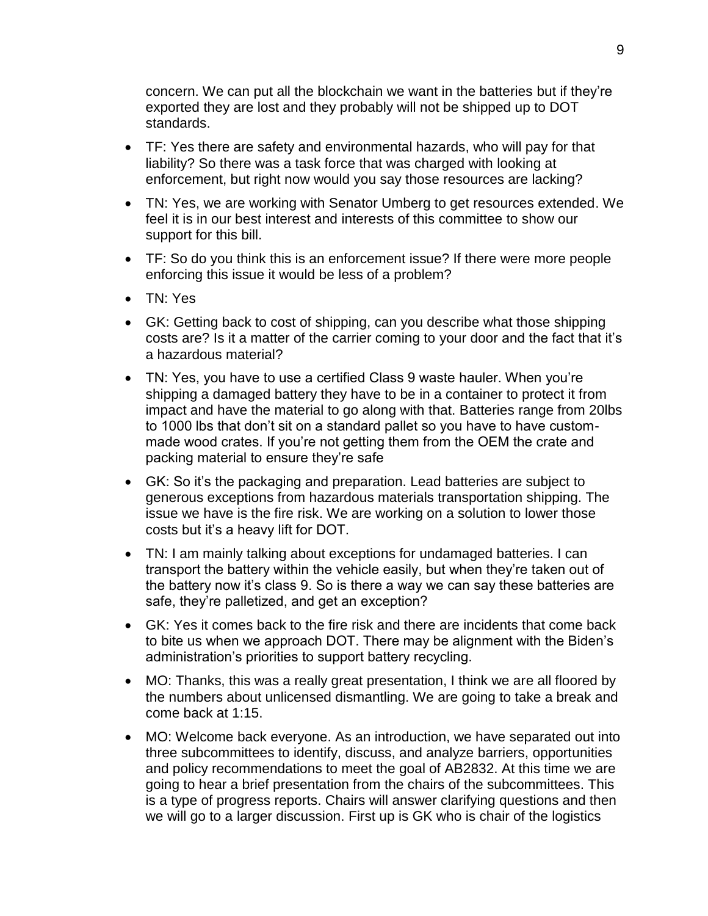concern. We can put all the blockchain we want in the batteries but if they're exported they are lost and they probably will not be shipped up to DOT standards.

- TF: Yes there are safety and environmental hazards, who will pay for that liability? So there was a task force that was charged with looking at enforcement, but right now would you say those resources are lacking?
- TN: Yes, we are working with Senator Umberg to get resources extended. We feel it is in our best interest and interests of this committee to show our support for this bill.
- TF: So do you think this is an enforcement issue? If there were more people enforcing this issue it would be less of a problem?
- TN: Yes
- GK: Getting back to cost of shipping, can you describe what those shipping costs are? Is it a matter of the carrier coming to your door and the fact that it's a hazardous material?
- TN: Yes, you have to use a certified Class 9 waste hauler. When you're shipping a damaged battery they have to be in a container to protect it from impact and have the material to go along with that. Batteries range from 20lbs to 1000 lbs that don't sit on a standard pallet so you have to have custommade wood crates. If you're not getting them from the OEM the crate and packing material to ensure they're safe
- GK: So it's the packaging and preparation. Lead batteries are subject to generous exceptions from hazardous materials transportation shipping. The issue we have is the fire risk. We are working on a solution to lower those costs but it's a heavy lift for DOT.
- TN: I am mainly talking about exceptions for undamaged batteries. I can transport the battery within the vehicle easily, but when they're taken out of the battery now it's class 9. So is there a way we can say these batteries are safe, they're palletized, and get an exception?
- GK: Yes it comes back to the fire risk and there are incidents that come back to bite us when we approach DOT. There may be alignment with the Biden's administration's priorities to support battery recycling.
- MO: Thanks, this was a really great presentation, I think we are all floored by the numbers about unlicensed dismantling. We are going to take a break and come back at 1:15.
- MO: Welcome back everyone. As an introduction, we have separated out into three subcommittees to identify, discuss, and analyze barriers, opportunities and policy recommendations to meet the goal of AB2832. At this time we are going to hear a brief presentation from the chairs of the subcommittees. This is a type of progress reports. Chairs will answer clarifying questions and then we will go to a larger discussion. First up is GK who is chair of the logistics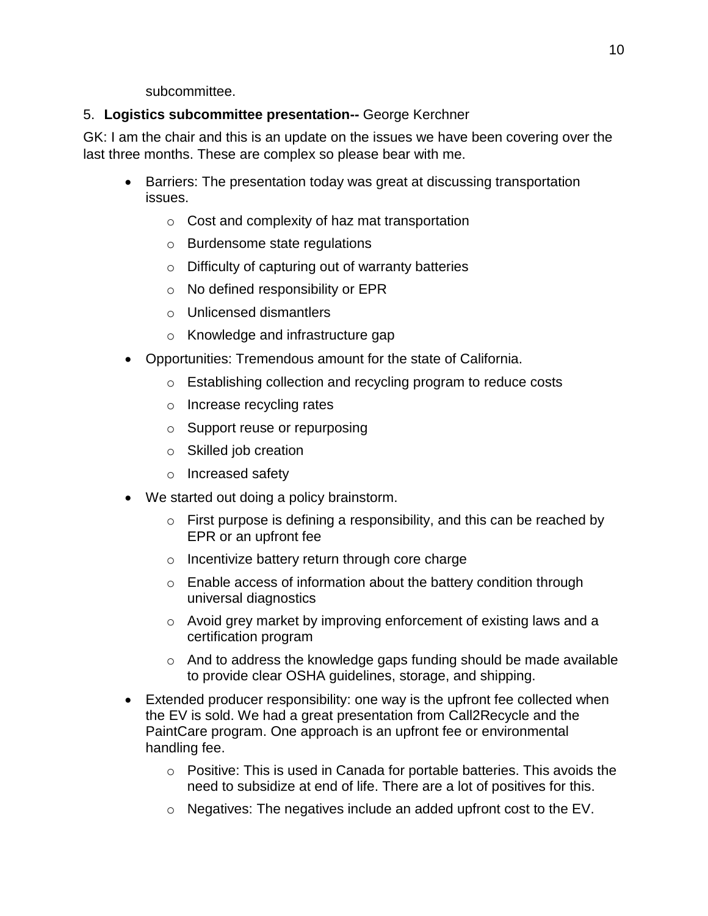subcommittee.

## 5. **Logistics subcommittee presentation--** George Kerchner

GK: I am the chair and this is an update on the issues we have been covering over the last three months. These are complex so please bear with me.

- Barriers: The presentation today was great at discussing transportation issues.
	- o Cost and complexity of haz mat transportation
	- o Burdensome state regulations
	- o Difficulty of capturing out of warranty batteries
	- o No defined responsibility or EPR
	- o Unlicensed dismantlers
	- o Knowledge and infrastructure gap
- Opportunities: Tremendous amount for the state of California.
	- o Establishing collection and recycling program to reduce costs
	- o Increase recycling rates
	- o Support reuse or repurposing
	- o Skilled job creation
	- o Increased safety
- We started out doing a policy brainstorm.
	- $\circ$  First purpose is defining a responsibility, and this can be reached by EPR or an upfront fee
	- o Incentivize battery return through core charge
	- o Enable access of information about the battery condition through universal diagnostics
	- o Avoid grey market by improving enforcement of existing laws and a certification program
	- o And to address the knowledge gaps funding should be made available to provide clear OSHA guidelines, storage, and shipping.
- Extended producer responsibility: one way is the upfront fee collected when the EV is sold. We had a great presentation from Call2Recycle and the PaintCare program. One approach is an upfront fee or environmental handling fee.
	- $\circ$  Positive: This is used in Canada for portable batteries. This avoids the need to subsidize at end of life. There are a lot of positives for this.
	- o Negatives: The negatives include an added upfront cost to the EV.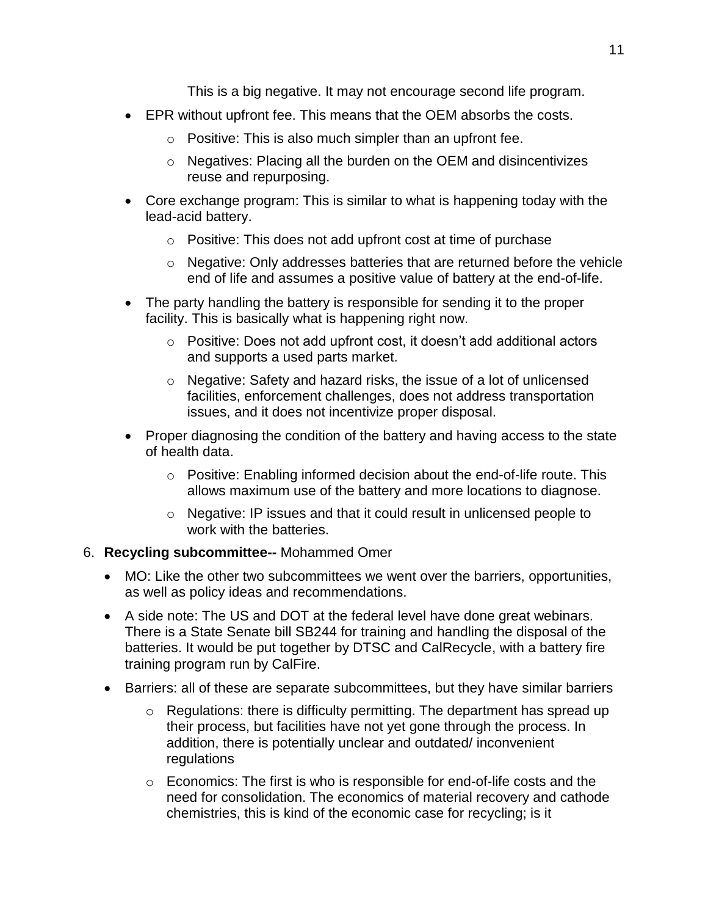This is a big negative. It may not encourage second life program.

- EPR without upfront fee. This means that the OEM absorbs the costs.
	- $\circ$  Positive: This is also much simpler than an upfront fee.
	- o Negatives: Placing all the burden on the OEM and disincentivizes reuse and repurposing.
- Core exchange program: This is similar to what is happening today with the lead-acid battery.
	- o Positive: This does not add upfront cost at time of purchase
	- $\circ$  Negative: Only addresses batteries that are returned before the vehicle end of life and assumes a positive value of battery at the end-of-life.
- The party handling the battery is responsible for sending it to the proper facility. This is basically what is happening right now.
	- o Positive: Does not add upfront cost, it doesn't add additional actors and supports a used parts market.
	- o Negative: Safety and hazard risks, the issue of a lot of unlicensed facilities, enforcement challenges, does not address transportation issues, and it does not incentivize proper disposal.
- Proper diagnosing the condition of the battery and having access to the state of health data.
	- o Positive: Enabling informed decision about the end-of-life route. This allows maximum use of the battery and more locations to diagnose.
	- o Negative: IP issues and that it could result in unlicensed people to work with the batteries.

### 6. **Recycling subcommittee--** Mohammed Omer

- MO: Like the other two subcommittees we went over the barriers, opportunities, as well as policy ideas and recommendations.
- A side note: The US and DOT at the federal level have done great webinars. There is a State Senate bill SB244 for training and handling the disposal of the batteries. It would be put together by DTSC and CalRecycle, with a battery fire training program run by CalFire.
- Barriers: all of these are separate subcommittees, but they have similar barriers
	- o Regulations: there is difficulty permitting. The department has spread up their process, but facilities have not yet gone through the process. In addition, there is potentially unclear and outdated/ inconvenient regulations
	- o Economics: The first is who is responsible for end-of-life costs and the need for consolidation. The economics of material recovery and cathode chemistries, this is kind of the economic case for recycling; is it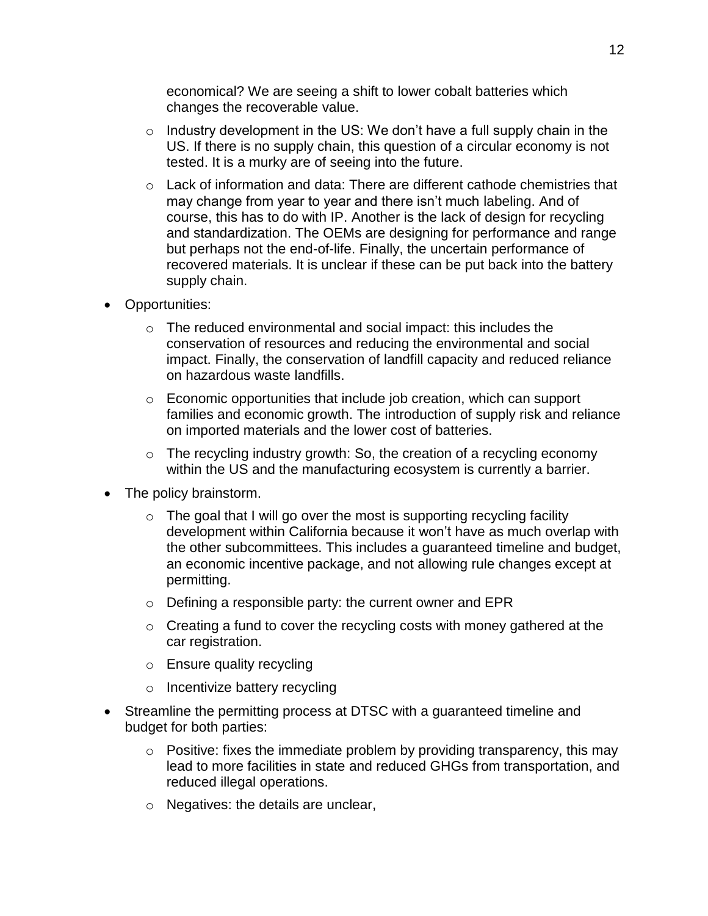economical? We are seeing a shift to lower cobalt batteries which changes the recoverable value.

- $\circ$  Industry development in the US: We don't have a full supply chain in the US. If there is no supply chain, this question of a circular economy is not tested. It is a murky are of seeing into the future.
- o Lack of information and data: There are different cathode chemistries that may change from year to year and there isn't much labeling. And of course, this has to do with IP. Another is the lack of design for recycling and standardization. The OEMs are designing for performance and range but perhaps not the end-of-life. Finally, the uncertain performance of recovered materials. It is unclear if these can be put back into the battery supply chain.
- Opportunities:
	- o The reduced environmental and social impact: this includes the conservation of resources and reducing the environmental and social impact. Finally, the conservation of landfill capacity and reduced reliance on hazardous waste landfills.
	- $\circ$  Economic opportunities that include job creation, which can support families and economic growth. The introduction of supply risk and reliance on imported materials and the lower cost of batteries.
	- $\circ$  The recycling industry growth: So, the creation of a recycling economy within the US and the manufacturing ecosystem is currently a barrier.
- The policy brainstorm.
	- $\circ$  The goal that I will go over the most is supporting recycling facility development within California because it won't have as much overlap with the other subcommittees. This includes a guaranteed timeline and budget, an economic incentive package, and not allowing rule changes except at permitting.
	- o Defining a responsible party: the current owner and EPR
	- $\circ$  Creating a fund to cover the recycling costs with money gathered at the car registration.
	- o Ensure quality recycling
	- o Incentivize battery recycling
- Streamline the permitting process at DTSC with a guaranteed timeline and budget for both parties:
	- $\circ$  Positive: fixes the immediate problem by providing transparency, this may lead to more facilities in state and reduced GHGs from transportation, and reduced illegal operations.
	- o Negatives: the details are unclear,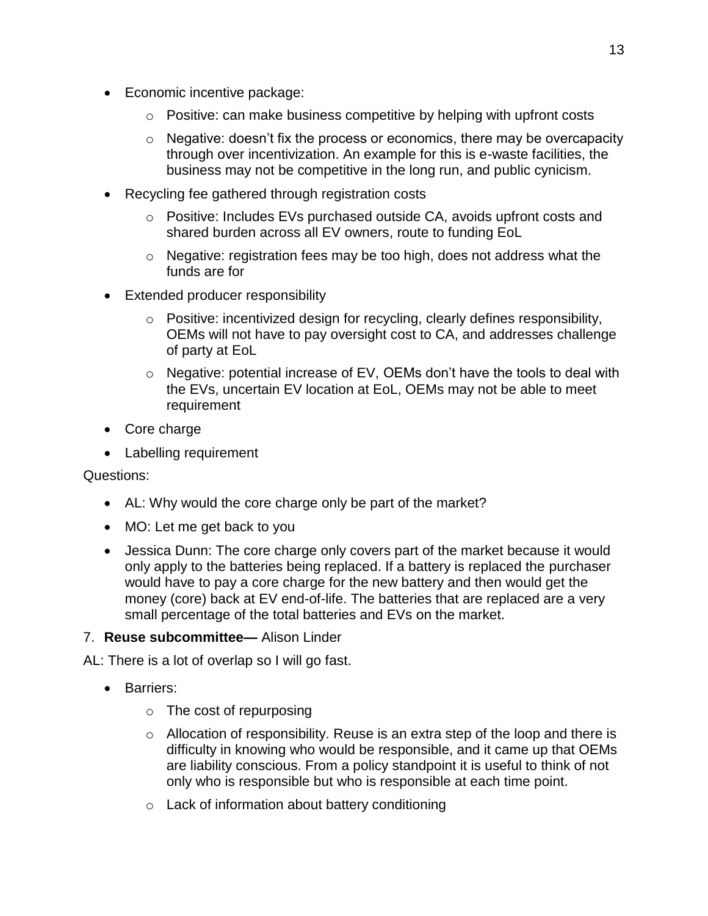- Economic incentive package:
	- $\circ$  Positive: can make business competitive by helping with upfront costs
	- $\circ$  Negative: doesn't fix the process or economics, there may be overcapacity through over incentivization. An example for this is e-waste facilities, the business may not be competitive in the long run, and public cynicism.
- Recycling fee gathered through registration costs
	- o Positive: Includes EVs purchased outside CA, avoids upfront costs and shared burden across all EV owners, route to funding EoL
	- o Negative: registration fees may be too high, does not address what the funds are for
- Extended producer responsibility
	- o Positive: incentivized design for recycling, clearly defines responsibility, OEMs will not have to pay oversight cost to CA, and addresses challenge of party at EoL
	- o Negative: potential increase of EV, OEMs don't have the tools to deal with the EVs, uncertain EV location at EoL, OEMs may not be able to meet requirement
- Core charge
- Labelling requirement

Questions:

- AL: Why would the core charge only be part of the market?
- MO: Let me get back to you
- Jessica Dunn: The core charge only covers part of the market because it would only apply to the batteries being replaced. If a battery is replaced the purchaser would have to pay a core charge for the new battery and then would get the money (core) back at EV end-of-life. The batteries that are replaced are a very small percentage of the total batteries and EVs on the market.
- 7. **Reuse subcommittee—** Alison Linder

AL: There is a lot of overlap so I will go fast.

- Barriers:
	- $\circ$  The cost of repurposing
	- o Allocation of responsibility. Reuse is an extra step of the loop and there is difficulty in knowing who would be responsible, and it came up that OEMs are liability conscious. From a policy standpoint it is useful to think of not only who is responsible but who is responsible at each time point.
	- o Lack of information about battery conditioning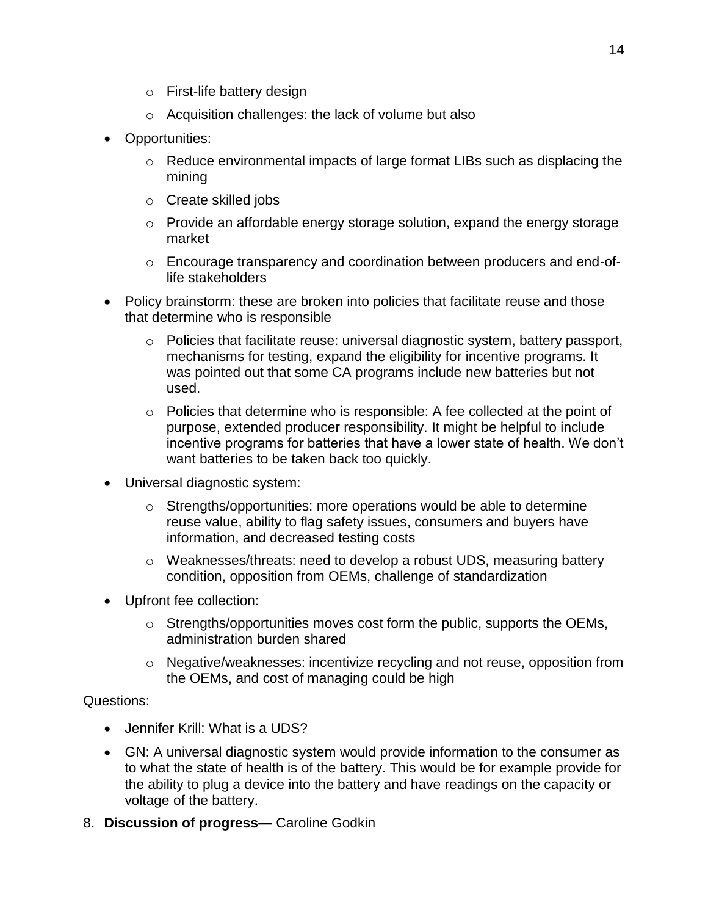- o First-life battery design
- o Acquisition challenges: the lack of volume but also
- Opportunities:
	- $\circ$  Reduce environmental impacts of large format LIBs such as displacing the mining
	- o Create skilled jobs
	- o Provide an affordable energy storage solution, expand the energy storage market
	- o Encourage transparency and coordination between producers and end-oflife stakeholders
- Policy brainstorm: these are broken into policies that facilitate reuse and those that determine who is responsible
	- $\circ$  Policies that facilitate reuse: universal diagnostic system, battery passport, mechanisms for testing, expand the eligibility for incentive programs. It was pointed out that some CA programs include new batteries but not used.
	- $\circ$  Policies that determine who is responsible: A fee collected at the point of purpose, extended producer responsibility. It might be helpful to include incentive programs for batteries that have a lower state of health. We don't want batteries to be taken back too quickly.
- Universal diagnostic system:
	- $\circ$  Strengths/opportunities: more operations would be able to determine reuse value, ability to flag safety issues, consumers and buyers have information, and decreased testing costs
	- o Weaknesses/threats: need to develop a robust UDS, measuring battery condition, opposition from OEMs, challenge of standardization
- Upfront fee collection:
	- o Strengths/opportunities moves cost form the public, supports the OEMs, administration burden shared
	- $\circ$  Negative/weaknesses: incentivize recycling and not reuse, opposition from the OEMs, and cost of managing could be high

Questions:

- Jennifer Krill: What is a UDS?
- GN: A universal diagnostic system would provide information to the consumer as to what the state of health is of the battery. This would be for example provide for the ability to plug a device into the battery and have readings on the capacity or voltage of the battery.
- 8. **Discussion of progress—** Caroline Godkin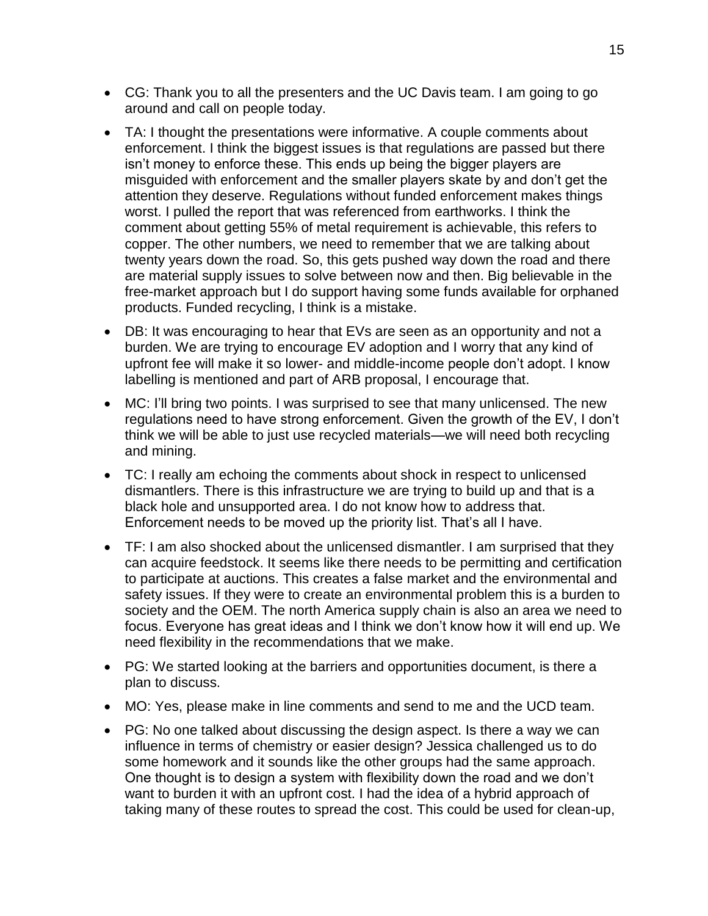- CG: Thank you to all the presenters and the UC Davis team. I am going to go around and call on people today.
- TA: I thought the presentations were informative. A couple comments about enforcement. I think the biggest issues is that regulations are passed but there isn't money to enforce these. This ends up being the bigger players are misguided with enforcement and the smaller players skate by and don't get the attention they deserve. Regulations without funded enforcement makes things worst. I pulled the report that was referenced from earthworks. I think the comment about getting 55% of metal requirement is achievable, this refers to copper. The other numbers, we need to remember that we are talking about twenty years down the road. So, this gets pushed way down the road and there are material supply issues to solve between now and then. Big believable in the free-market approach but I do support having some funds available for orphaned products. Funded recycling, I think is a mistake.
- DB: It was encouraging to hear that EVs are seen as an opportunity and not a burden. We are trying to encourage EV adoption and I worry that any kind of upfront fee will make it so lower- and middle-income people don't adopt. I know labelling is mentioned and part of ARB proposal, I encourage that.
- MC: I'll bring two points. I was surprised to see that many unlicensed. The new regulations need to have strong enforcement. Given the growth of the EV, I don't think we will be able to just use recycled materials—we will need both recycling and mining.
- TC: I really am echoing the comments about shock in respect to unlicensed dismantlers. There is this infrastructure we are trying to build up and that is a black hole and unsupported area. I do not know how to address that. Enforcement needs to be moved up the priority list. That's all I have.
- TF: I am also shocked about the unlicensed dismantler. I am surprised that they can acquire feedstock. It seems like there needs to be permitting and certification to participate at auctions. This creates a false market and the environmental and safety issues. If they were to create an environmental problem this is a burden to society and the OEM. The north America supply chain is also an area we need to focus. Everyone has great ideas and I think we don't know how it will end up. We need flexibility in the recommendations that we make.
- PG: We started looking at the barriers and opportunities document, is there a plan to discuss.
- MO: Yes, please make in line comments and send to me and the UCD team.
- PG: No one talked about discussing the design aspect. Is there a way we can influence in terms of chemistry or easier design? Jessica challenged us to do some homework and it sounds like the other groups had the same approach. One thought is to design a system with flexibility down the road and we don't want to burden it with an upfront cost. I had the idea of a hybrid approach of taking many of these routes to spread the cost. This could be used for clean-up,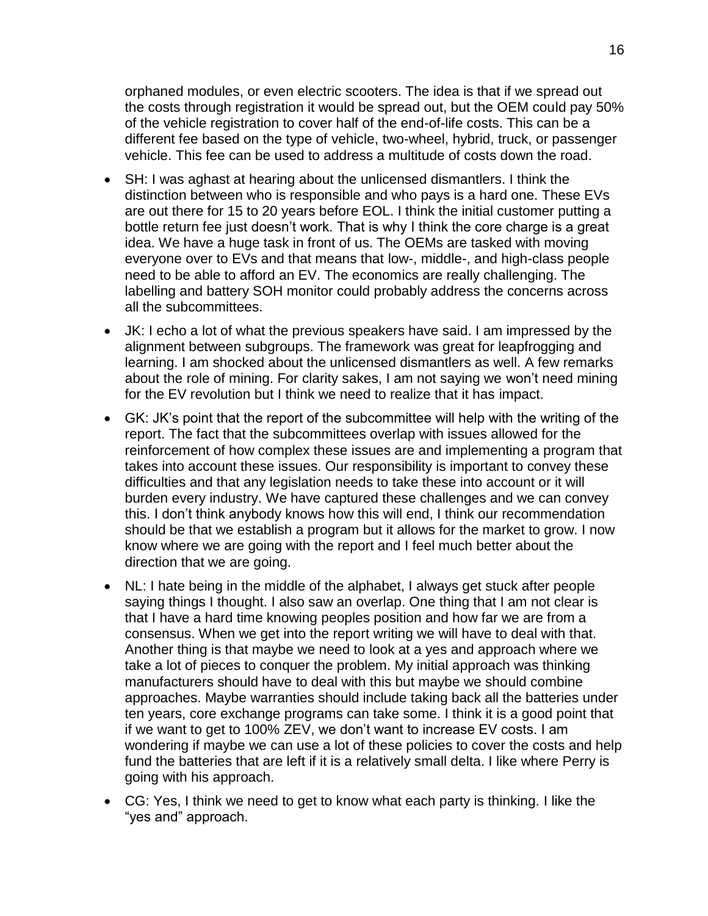orphaned modules, or even electric scooters. The idea is that if we spread out the costs through registration it would be spread out, but the OEM could pay 50% of the vehicle registration to cover half of the end-of-life costs. This can be a different fee based on the type of vehicle, two-wheel, hybrid, truck, or passenger vehicle. This fee can be used to address a multitude of costs down the road.

- SH: I was aghast at hearing about the unlicensed dismantlers. I think the distinction between who is responsible and who pays is a hard one. These EVs are out there for 15 to 20 years before EOL. I think the initial customer putting a bottle return fee just doesn't work. That is why I think the core charge is a great idea. We have a huge task in front of us. The OEMs are tasked with moving everyone over to EVs and that means that low-, middle-, and high-class people need to be able to afford an EV. The economics are really challenging. The labelling and battery SOH monitor could probably address the concerns across all the subcommittees.
- JK: I echo a lot of what the previous speakers have said. I am impressed by the alignment between subgroups. The framework was great for leapfrogging and learning. I am shocked about the unlicensed dismantlers as well. A few remarks about the role of mining. For clarity sakes, I am not saying we won't need mining for the EV revolution but I think we need to realize that it has impact.
- GK: JK's point that the report of the subcommittee will help with the writing of the report. The fact that the subcommittees overlap with issues allowed for the reinforcement of how complex these issues are and implementing a program that takes into account these issues. Our responsibility is important to convey these difficulties and that any legislation needs to take these into account or it will burden every industry. We have captured these challenges and we can convey this. I don't think anybody knows how this will end, I think our recommendation should be that we establish a program but it allows for the market to grow. I now know where we are going with the report and I feel much better about the direction that we are going.
- NL: I hate being in the middle of the alphabet, I always get stuck after people saying things I thought. I also saw an overlap. One thing that I am not clear is that I have a hard time knowing peoples position and how far we are from a consensus. When we get into the report writing we will have to deal with that. Another thing is that maybe we need to look at a yes and approach where we take a lot of pieces to conquer the problem. My initial approach was thinking manufacturers should have to deal with this but maybe we should combine approaches. Maybe warranties should include taking back all the batteries under ten years, core exchange programs can take some. I think it is a good point that if we want to get to 100% ZEV, we don't want to increase EV costs. I am wondering if maybe we can use a lot of these policies to cover the costs and help fund the batteries that are left if it is a relatively small delta. I like where Perry is going with his approach.
- CG: Yes, I think we need to get to know what each party is thinking. I like the "yes and" approach.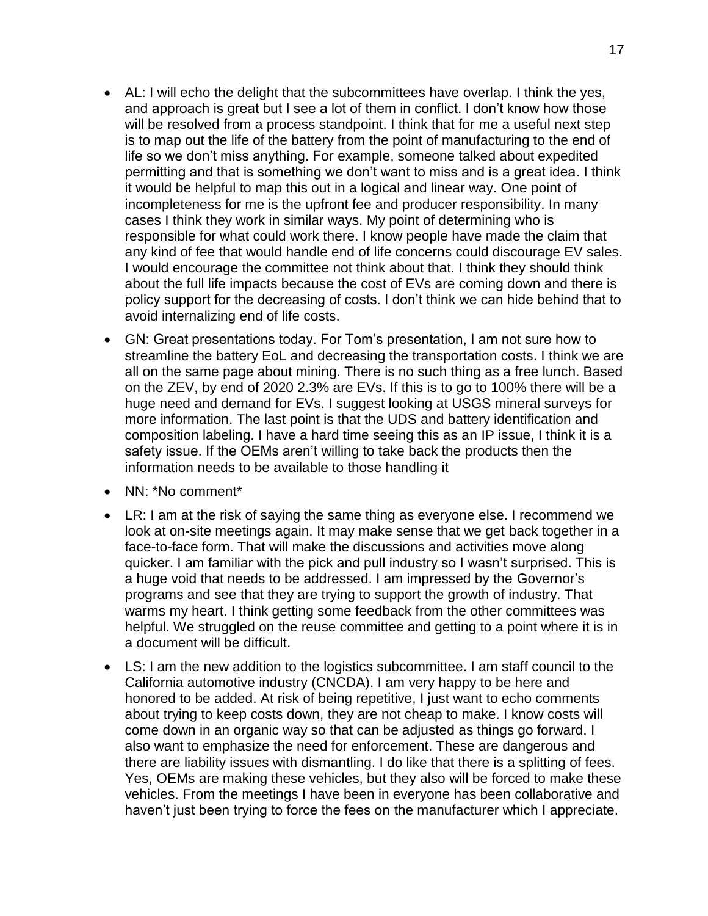- AL: I will echo the delight that the subcommittees have overlap. I think the yes, and approach is great but I see a lot of them in conflict. I don't know how those will be resolved from a process standpoint. I think that for me a useful next step is to map out the life of the battery from the point of manufacturing to the end of life so we don't miss anything. For example, someone talked about expedited permitting and that is something we don't want to miss and is a great idea. I think it would be helpful to map this out in a logical and linear way. One point of incompleteness for me is the upfront fee and producer responsibility. In many cases I think they work in similar ways. My point of determining who is responsible for what could work there. I know people have made the claim that any kind of fee that would handle end of life concerns could discourage EV sales. I would encourage the committee not think about that. I think they should think about the full life impacts because the cost of EVs are coming down and there is policy support for the decreasing of costs. I don't think we can hide behind that to avoid internalizing end of life costs.
- GN: Great presentations today. For Tom's presentation, I am not sure how to streamline the battery EoL and decreasing the transportation costs. I think we are all on the same page about mining. There is no such thing as a free lunch. Based on the ZEV, by end of 2020 2.3% are EVs. If this is to go to 100% there will be a huge need and demand for EVs. I suggest looking at USGS mineral surveys for more information. The last point is that the UDS and battery identification and composition labeling. I have a hard time seeing this as an IP issue, I think it is a safety issue. If the OEMs aren't willing to take back the products then the information needs to be available to those handling it
- NN: \*No comment\*
- LR: I am at the risk of saying the same thing as everyone else. I recommend we look at on-site meetings again. It may make sense that we get back together in a face-to-face form. That will make the discussions and activities move along quicker. I am familiar with the pick and pull industry so I wasn't surprised. This is a huge void that needs to be addressed. I am impressed by the Governor's programs and see that they are trying to support the growth of industry. That warms my heart. I think getting some feedback from the other committees was helpful. We struggled on the reuse committee and getting to a point where it is in a document will be difficult.
- LS: I am the new addition to the logistics subcommittee. I am staff council to the California automotive industry (CNCDA). I am very happy to be here and honored to be added. At risk of being repetitive, I just want to echo comments about trying to keep costs down, they are not cheap to make. I know costs will come down in an organic way so that can be adjusted as things go forward. I also want to emphasize the need for enforcement. These are dangerous and there are liability issues with dismantling. I do like that there is a splitting of fees. Yes, OEMs are making these vehicles, but they also will be forced to make these vehicles. From the meetings I have been in everyone has been collaborative and haven't just been trying to force the fees on the manufacturer which I appreciate.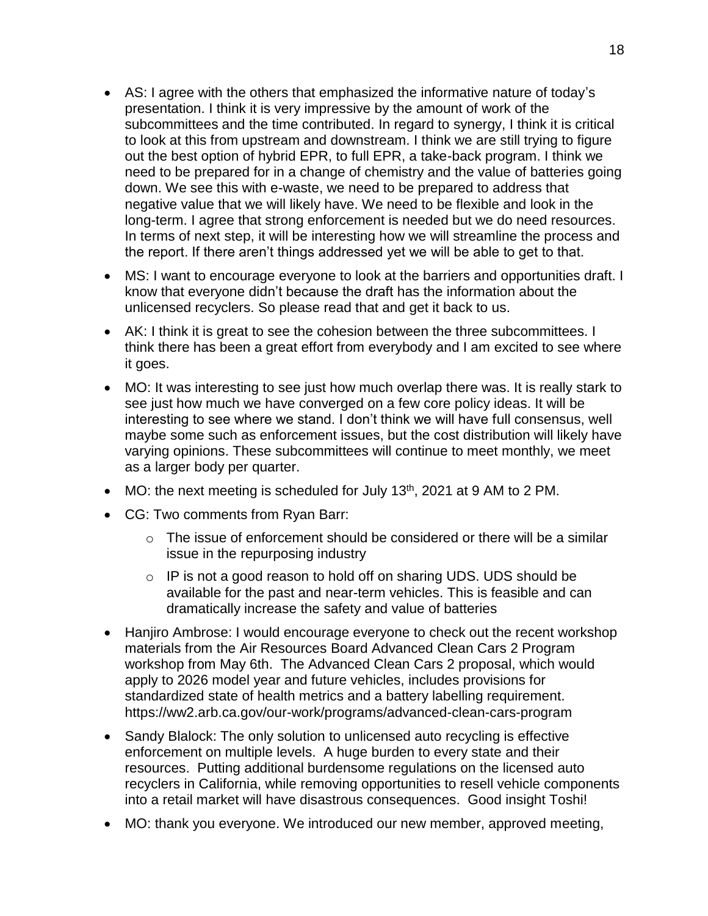- AS: I agree with the others that emphasized the informative nature of today's presentation. I think it is very impressive by the amount of work of the subcommittees and the time contributed. In regard to synergy, I think it is critical to look at this from upstream and downstream. I think we are still trying to figure out the best option of hybrid EPR, to full EPR, a take-back program. I think we need to be prepared for in a change of chemistry and the value of batteries going down. We see this with e-waste, we need to be prepared to address that negative value that we will likely have. We need to be flexible and look in the long-term. I agree that strong enforcement is needed but we do need resources. In terms of next step, it will be interesting how we will streamline the process and the report. If there aren't things addressed yet we will be able to get to that.
- MS: I want to encourage everyone to look at the barriers and opportunities draft. I know that everyone didn't because the draft has the information about the unlicensed recyclers. So please read that and get it back to us.
- AK: I think it is great to see the cohesion between the three subcommittees. I think there has been a great effort from everybody and I am excited to see where it goes.
- MO: It was interesting to see just how much overlap there was. It is really stark to see just how much we have converged on a few core policy ideas. It will be interesting to see where we stand. I don't think we will have full consensus, well maybe some such as enforcement issues, but the cost distribution will likely have varying opinions. These subcommittees will continue to meet monthly, we meet as a larger body per quarter.
- $\bullet$  MO: the next meeting is scheduled for July 13<sup>th</sup>, 2021 at 9 AM to 2 PM.
- CG: Two comments from Ryan Barr:
	- $\circ$  The issue of enforcement should be considered or there will be a similar issue in the repurposing industry
	- o IP is not a good reason to hold off on sharing UDS. UDS should be available for the past and near-term vehicles. This is feasible and can dramatically increase the safety and value of batteries
- Hanjiro Ambrose: I would encourage everyone to check out the recent workshop materials from the Air Resources Board Advanced Clean Cars 2 Program workshop from May 6th. The Advanced Clean Cars 2 proposal, which would apply to 2026 model year and future vehicles, includes provisions for standardized state of health metrics and a battery labelling requirement. https://ww2.arb.ca.gov/our-work/programs/advanced-clean-cars-program
- Sandy Blalock: The only solution to unlicensed auto recycling is effective enforcement on multiple levels. A huge burden to every state and their resources. Putting additional burdensome regulations on the licensed auto recyclers in California, while removing opportunities to resell vehicle components into a retail market will have disastrous consequences. Good insight Toshi!
- MO: thank you everyone. We introduced our new member, approved meeting,